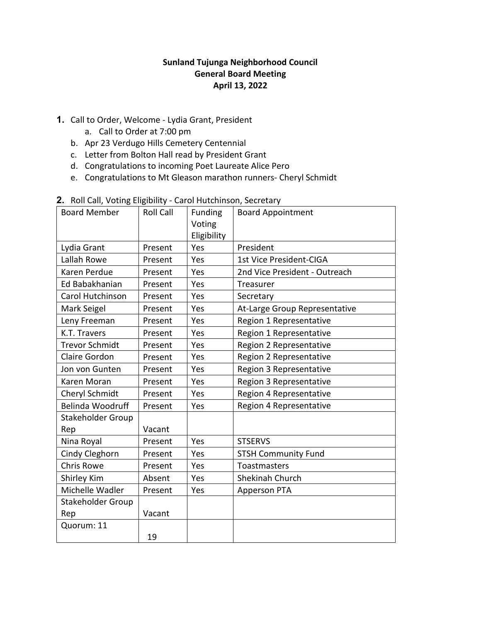# **Sunland Tujunga Neighborhood Council General Board Meeting April 13, 2022**

- **1.** Call to Order, Welcome Lydia Grant, President
	- a. Call to Order at 7:00 pm
	- b. Apr 23 Verdugo Hills Cemetery Centennial
	- c. Letter from Bolton Hall read by President Grant
	- d. Congratulations to incoming Poet Laureate Alice Pero
	- e. Congratulations to Mt Gleason marathon runners- Cheryl Schmidt

| $5$ $5$ , $5$           |                  |                |                                |
|-------------------------|------------------|----------------|--------------------------------|
| <b>Board Member</b>     | <b>Roll Call</b> | <b>Funding</b> | <b>Board Appointment</b>       |
|                         |                  | Voting         |                                |
|                         |                  | Eligibility    |                                |
| Lydia Grant             | Present          | Yes            | President                      |
| Lallah Rowe             | Present          | Yes            | <b>1st Vice President-CIGA</b> |
| Karen Perdue            | Present          | Yes            | 2nd Vice President - Outreach  |
| Ed Babakhanian          | Present          | Yes            | <b>Treasurer</b>               |
| Carol Hutchinson        | Present          | Yes            | Secretary                      |
| Mark Seigel             | Present          | Yes            | At-Large Group Representative  |
| Leny Freeman            | Present          | Yes            | Region 1 Representative        |
| K.T. Travers            | Present          | Yes            | Region 1 Representative        |
| <b>Trevor Schmidt</b>   | Present          | Yes            | Region 2 Representative        |
| Claire Gordon           | Present          | Yes            | Region 2 Representative        |
| Jon von Gunten          | Present          | Yes            | Region 3 Representative        |
| Karen Moran             | Present          | Yes            | Region 3 Representative        |
| Cheryl Schmidt          | Present          | Yes            | Region 4 Representative        |
| <b>Belinda Woodruff</b> | Present          | Yes            | Region 4 Representative        |
| Stakeholder Group       |                  |                |                                |
| Rep                     | Vacant           |                |                                |
| Nina Royal              | Present          | Yes            | <b>STSERVS</b>                 |
| Cindy Cleghorn          | Present          | Yes            | <b>STSH Community Fund</b>     |
| <b>Chris Rowe</b>       | Present          | Yes            | Toastmasters                   |
| Shirley Kim             | Absent           | Yes            | Shekinah Church                |
| Michelle Wadler         | Present          | Yes            | Apperson PTA                   |
| Stakeholder Group       |                  |                |                                |
| Rep                     | Vacant           |                |                                |
| Quorum: 11              |                  |                |                                |
|                         | 19               |                |                                |

### **2.** Roll Call, Voting Eligibility - Carol Hutchinson, Secretary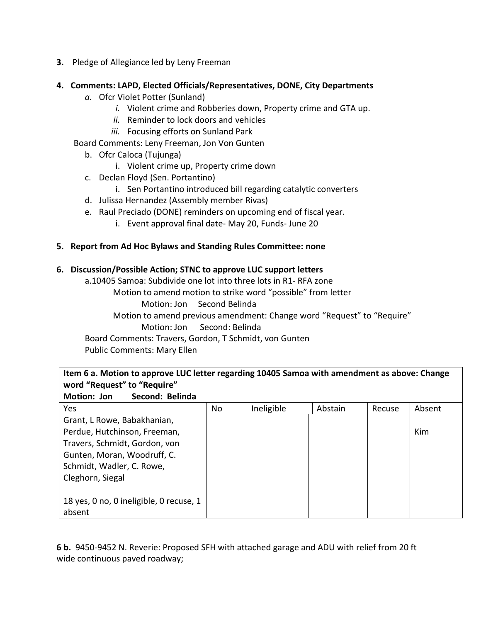**3.** Pledge of Allegiance led by Leny Freeman

## **4. Comments: LAPD, Elected Officials/Representatives, DONE, City Departments**

- *a.* Ofcr Violet Potter (Sunland)
	- *i.* Violent crime and Robberies down, Property crime and GTA up.
	- *ii.* Reminder to lock doors and vehicles
	- *iii.* Focusing efforts on Sunland Park

Board Comments: Leny Freeman, Jon Von Gunten

- b. Ofcr Caloca (Tujunga)
	- i. Violent crime up, Property crime down
- c. Declan Floyd (Sen. Portantino)
	- i. Sen Portantino introduced bill regarding catalytic converters
- d. Julissa Hernandez (Assembly member Rivas)
- e. Raul Preciado (DONE) reminders on upcoming end of fiscal year.
	- i. Event approval final date- May 20, Funds- June 20

### **5. Report from Ad Hoc Bylaws and Standing Rules Committee: none**

## **6. Discussion/Possible Action; STNC to approve LUC support letters**

a.10405 Samoa: Subdivide one lot into three lots in R1- RFA zone

- Motion to amend motion to strike word "possible" from letter
	- Motion: Jon Second Belinda

Motion to amend previous amendment: Change word "Request" to "Require" Motion: Jon Second: Belinda

Board Comments: Travers, Gordon, T Schmidt, von Gunten

Public Comments: Mary Ellen

| Item 6 a. Motion to approve LUC letter regarding 10405 Samoa with amendment as above: Change |
|----------------------------------------------------------------------------------------------|
| word "Request" to "Require"                                                                  |
| I Matian, Ian<br>Cocondi Dolindo                                                             |

| IVIULIUII. JUII<br>эссонч. реппча       |    |            |         |        |            |
|-----------------------------------------|----|------------|---------|--------|------------|
| Yes                                     | No | Ineligible | Abstain | Recuse | Absent     |
| Grant, L Rowe, Babakhanian,             |    |            |         |        |            |
| Perdue, Hutchinson, Freeman,            |    |            |         |        | <b>Kim</b> |
| Travers, Schmidt, Gordon, von           |    |            |         |        |            |
| Gunten, Moran, Woodruff, C.             |    |            |         |        |            |
| Schmidt, Wadler, C. Rowe,               |    |            |         |        |            |
| Cleghorn, Siegal                        |    |            |         |        |            |
|                                         |    |            |         |        |            |
| 18 yes, 0 no, 0 ineligible, 0 recuse, 1 |    |            |         |        |            |
| absent                                  |    |            |         |        |            |

**6 b.** 9450-9452 N. Reverie: Proposed SFH with attached garage and ADU with relief from 20 ft wide continuous paved roadway;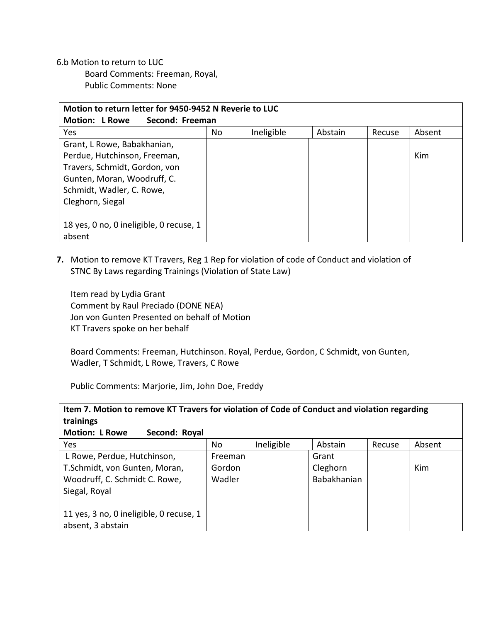6.b Motion to return to LUC Board Comments: Freeman, Royal, Public Comments: None

| Motion to return letter for 9450-9452 N Reverie to LUC |    |            |         |        |        |  |  |
|--------------------------------------------------------|----|------------|---------|--------|--------|--|--|
| Second: Freeman<br><b>Motion: L Rowe</b>               |    |            |         |        |        |  |  |
| Yes                                                    | No | Ineligible | Abstain | Recuse | Absent |  |  |
| Grant, L Rowe, Babakhanian,                            |    |            |         |        |        |  |  |
| Perdue, Hutchinson, Freeman,                           |    |            |         |        | Kim    |  |  |
| Travers, Schmidt, Gordon, von                          |    |            |         |        |        |  |  |
| Gunten, Moran, Woodruff, C.                            |    |            |         |        |        |  |  |
| Schmidt, Wadler, C. Rowe,                              |    |            |         |        |        |  |  |
| Cleghorn, Siegal                                       |    |            |         |        |        |  |  |
|                                                        |    |            |         |        |        |  |  |
| 18 yes, 0 no, 0 ineligible, 0 recuse, 1                |    |            |         |        |        |  |  |
| absent                                                 |    |            |         |        |        |  |  |

**7.** Motion to remove KT Travers, Reg 1 Rep for violation of code of Conduct and violation of STNC By Laws regarding Trainings (Violation of State Law)

Item read by Lydia Grant Comment by Raul Preciado (DONE NEA) Jon von Gunten Presented on behalf of Motion KT Travers spoke on her behalf

Board Comments: Freeman, Hutchinson. Royal, Perdue, Gordon, C Schmidt, von Gunten, Wadler, T Schmidt, L Rowe, Travers, C Rowe

Public Comments: Marjorie, Jim, John Doe, Freddy

| Item 7. Motion to remove KT Travers for violation of Code of Conduct and violation regarding |  |
|----------------------------------------------------------------------------------------------|--|
| trainings                                                                                    |  |
| <b>Motion: L Rowe</b><br>Second: Royal                                                       |  |

| <b>Yes</b>                              | No      | Ineligible | Abstain     | Recuse | Absent |
|-----------------------------------------|---------|------------|-------------|--------|--------|
| L Rowe, Perdue, Hutchinson,             | Freeman |            | Grant       |        |        |
| T.Schmidt, von Gunten, Moran,           | Gordon  |            | Cleghorn    |        | Kim    |
| Woodruff, C. Schmidt C. Rowe,           | Wadler  |            | Babakhanian |        |        |
| Siegal, Royal                           |         |            |             |        |        |
|                                         |         |            |             |        |        |
| 11 yes, 3 no, 0 ineligible, 0 recuse, 1 |         |            |             |        |        |
| absent, 3 abstain                       |         |            |             |        |        |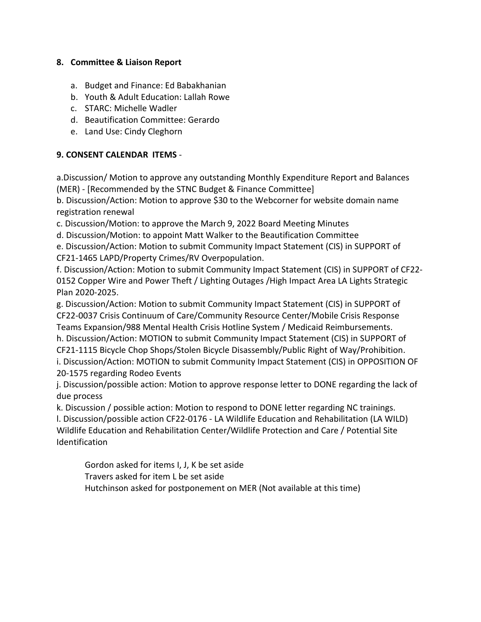## **8. Committee & Liaison Report**

- a. Budget and Finance: Ed Babakhanian
- b. Youth & Adult Education: Lallah Rowe
- c. STARC: Michelle Wadler
- d. Beautification Committee: Gerardo
- e. Land Use: Cindy Cleghorn

# **9. CONSENT CALENDAR ITEMS** -

a.Discussion/ Motion to approve any outstanding Monthly Expenditure Report and Balances (MER) - [Recommended by the STNC Budget & Finance Committee]

b. Discussion/Action: Motion to approve \$30 to the Webcorner for website domain name registration renewal

c. Discussion/Motion: to approve the March 9, 2022 Board Meeting Minutes

d. Discussion/Motion: to appoint Matt Walker to the Beautification Committee

e. Discussion/Action: Motion to submit Community Impact Statement (CIS) in SUPPORT of CF21-1465 LAPD/Property Crimes/RV Overpopulation.

f. Discussion/Action: Motion to submit Community Impact Statement (CIS) in SUPPORT of CF22- 0152 Copper Wire and Power Theft / Lighting Outages /High Impact Area LA Lights Strategic Plan 2020-2025.

g. Discussion/Action: Motion to submit Community Impact Statement (CIS) in SUPPORT of CF22-0037 Crisis Continuum of Care/Community Resource Center/Mobile Crisis Response Teams Expansion/988 Mental Health Crisis Hotline System / Medicaid Reimbursements.

h. Discussion/Action: MOTION to submit Community Impact Statement (CIS) in SUPPORT of CF21-1115 Bicycle Chop Shops/Stolen Bicycle Disassembly/Public Right of Way/Prohibition. i. Discussion/Action: MOTION to submit Community Impact Statement (CIS) in OPPOSITION OF 20-1575 regarding Rodeo Events

j. Discussion/possible action: Motion to approve response letter to DONE regarding the lack of due process

k. Discussion / possible action: Motion to respond to DONE letter regarding NC trainings.

l. Discussion/possible action CF22-0176 - LA Wildlife Education and Rehabilitation (LA WILD) Wildlife Education and Rehabilitation Center/Wildlife Protection and Care / Potential Site Identification

Gordon asked for items I, J, K be set aside Travers asked for item L be set aside Hutchinson asked for postponement on MER (Not available at this time)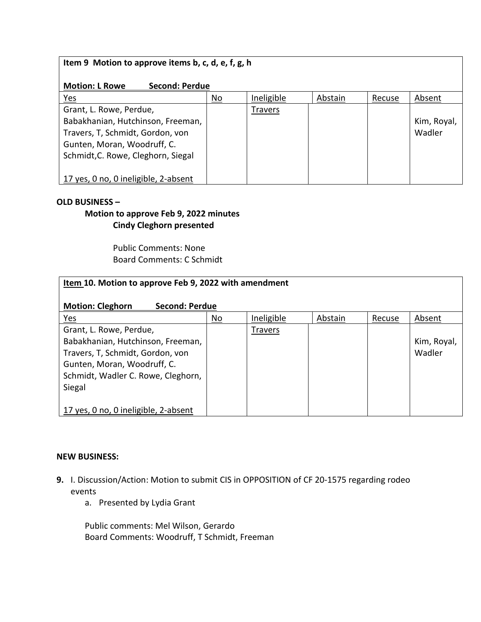# **Item 9 Motion to approve items b, c, d, e, f, g, h**

### **Motion: L Rowe Second: Perdue**

| Yes                                  | No | Ineligible | Abstain | Recuse | Absent      |
|--------------------------------------|----|------------|---------|--------|-------------|
| Grant, L. Rowe, Perdue,              |    | Travers    |         |        |             |
| Babakhanian, Hutchinson, Freeman,    |    |            |         |        | Kim, Royal, |
| Travers, T, Schmidt, Gordon, von     |    |            |         |        | Wadler      |
| Gunten, Moran, Woodruff, C.          |    |            |         |        |             |
| Schmidt, C. Rowe, Cleghorn, Siegal   |    |            |         |        |             |
|                                      |    |            |         |        |             |
| 17 yes, 0 no, 0 ineligible, 2-absent |    |            |         |        |             |

#### **OLD BUSINESS –**

# **Motion to approve Feb 9, 2022 minutes Cindy Cleghorn presented**

Public Comments: None Board Comments: C Schmidt

| Item 10. Motion to approve Feb 9, 2022 with amendment                                                                                                                           |           |            |         |        |                       |  |  |
|---------------------------------------------------------------------------------------------------------------------------------------------------------------------------------|-----------|------------|---------|--------|-----------------------|--|--|
| <b>Motion: Cleghorn</b><br><b>Second: Perdue</b>                                                                                                                                |           |            |         |        |                       |  |  |
| <u>Yes</u>                                                                                                                                                                      | <u>No</u> | Ineligible | Abstain | Recuse | Absent                |  |  |
| Grant, L. Rowe, Perdue,<br>Babakhanian, Hutchinson, Freeman,<br>Travers, T, Schmidt, Gordon, von<br>Gunten, Moran, Woodruff, C.<br>Schmidt, Wadler C. Rowe, Cleghorn,<br>Siegal |           | Travers    |         |        | Kim, Royal,<br>Wadler |  |  |
| 17 yes, 0 no, 0 ineligible, 2-absent                                                                                                                                            |           |            |         |        |                       |  |  |

#### **NEW BUSINESS:**

- **9.** I. Discussion/Action: Motion to submit CIS in OPPOSITION of CF 20-1575 regarding rodeo events
	- a. Presented by Lydia Grant

Public comments: Mel Wilson, Gerardo Board Comments: Woodruff, T Schmidt, Freeman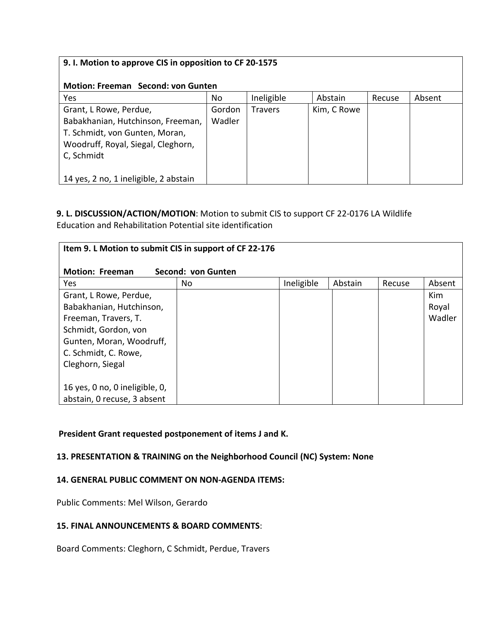| 9. I. Motion to approve CIS in opposition to CF 20-1575                                                                                           |                  |                |             |        |        |  |  |
|---------------------------------------------------------------------------------------------------------------------------------------------------|------------------|----------------|-------------|--------|--------|--|--|
| <b>Motion: Freeman Second: von Gunten</b>                                                                                                         |                  |                |             |        |        |  |  |
| Yes                                                                                                                                               | No               | Ineligible     | Abstain     | Recuse | Absent |  |  |
| Grant, L Rowe, Perdue,<br>Babakhanian, Hutchinson, Freeman,<br>T. Schmidt, von Gunten, Moran,<br>Woodruff, Royal, Siegal, Cleghorn,<br>C, Schmidt | Gordon<br>Wadler | <b>Travers</b> | Kim, C Rowe |        |        |  |  |
| 14 yes, 2 no, 1 ineligible, 2 abstain                                                                                                             |                  |                |             |        |        |  |  |

## **9. L. DISCUSSION/ACTION/MOTION**: Motion to submit CIS to support CF 22-0176 LA Wildlife Education and Rehabilitation Potential site identification

| Item 9. L Motion to submit CIS in support of CF 22-176 |                    |            |         |        |            |
|--------------------------------------------------------|--------------------|------------|---------|--------|------------|
| <b>Motion: Freeman</b>                                 | Second: von Gunten |            |         |        |            |
| Yes                                                    | No                 | Ineligible | Abstain | Recuse | Absent     |
| Grant, L Rowe, Perdue,                                 |                    |            |         |        | <b>Kim</b> |
| Babakhanian, Hutchinson,                               |                    |            |         |        | Royal      |
| Freeman, Travers, T.                                   |                    |            |         |        | Wadler     |
| Schmidt, Gordon, von                                   |                    |            |         |        |            |
| Gunten, Moran, Woodruff,                               |                    |            |         |        |            |
| C. Schmidt, C. Rowe,                                   |                    |            |         |        |            |
| Cleghorn, Siegal                                       |                    |            |         |        |            |
| 16 yes, 0 no, 0 ineligible, 0,                         |                    |            |         |        |            |
| abstain, 0 recuse, 3 absent                            |                    |            |         |        |            |

# **President Grant requested postponement of items J and K.**

# **13. PRESENTATION & TRAINING on the Neighborhood Council (NC) System: None**

### **14. GENERAL PUBLIC COMMENT ON NON-AGENDA ITEMS:**

Public Comments: Mel Wilson, Gerardo

### **15. FINAL ANNOUNCEMENTS & BOARD COMMENTS**:

Board Comments: Cleghorn, C Schmidt, Perdue, Travers